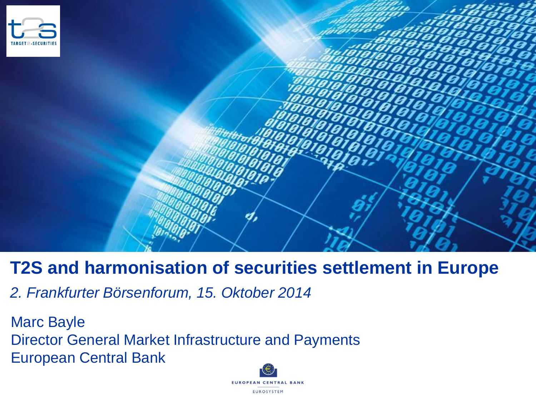

# **T2S and harmonisation of securities settlement in Europe**

*2. Frankfurter Börsenforum, 15. Oktober 2014* 

Marc Bayle Director General Market Infrastructure and Payments European Central Bank

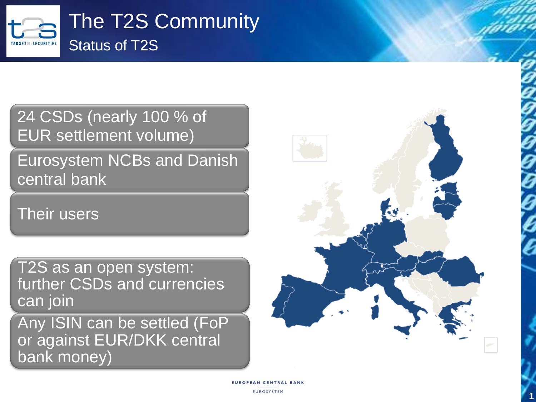

24 CSDs (nearly 100 % of EUR settlement volume)

Eurosystem NCBs and Danish central bank

Their users

T2S as an open system: further CSDs and currencies can join

Any ISIN can be settled (FoP or against EUR/DKK central bank money)

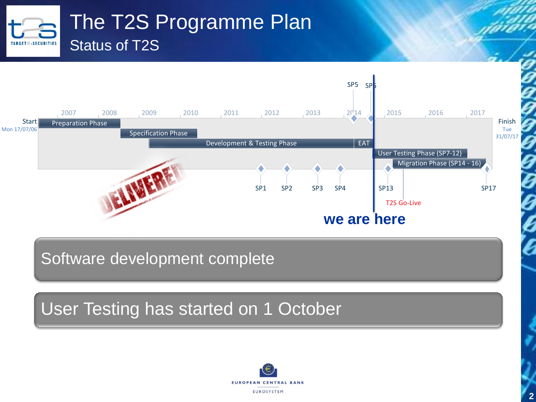#### The T2S Programme Plan Status of T2STARGET=-SECURITIES



Software development complete

User Testing has started on 1 October



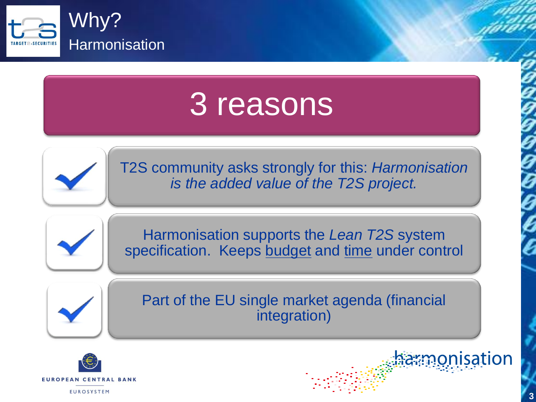

# 3 reasons



T2S community asks strongly for this: *Harmonisation is the added value of the T2S project.*



Harmonisation supports the *Lean T2S* system specification. Keeps budget and time under control



Part of the EU single market agenda (financial integration)



monisation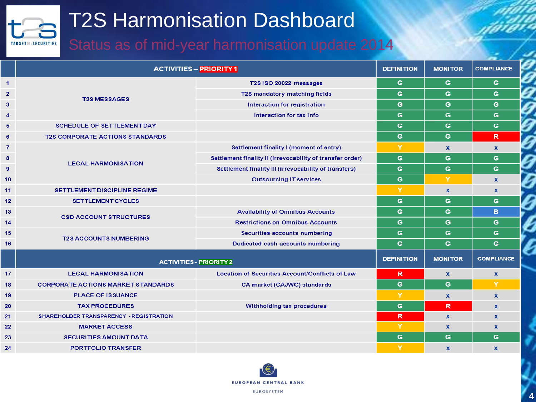# T2S Harmonisation Dashboard

TARGET=-SECURITIES

## Status as of mid-year harmonisation update 2014

|                | <b>ACTIVITIES - PRIORITY 1</b>                 |                                                           | <b>DEFINITION</b> | <b>MONITOR</b> | <b>COMPLIANCE</b>  |
|----------------|------------------------------------------------|-----------------------------------------------------------|-------------------|----------------|--------------------|
| $\mathbf{1}$   | <b>T2S MESSAGES</b>                            | T2S ISO 20022 messages                                    | G                 | G              | G                  |
| $\overline{2}$ |                                                | T2S mandatory matching fields                             | G                 | G              | G                  |
| 3              |                                                | Interaction for registration                              | G                 | G              | G                  |
| $\overline{4}$ |                                                | Interaction for tax info                                  | G                 | G              | G                  |
| 5              | <b>SCHEDULE OF SETTLEMENT DAY</b>              |                                                           | G                 | G              | G                  |
| 6              | <b>T2S CORPORATE ACTIONS STANDARDS</b>         |                                                           | G                 | G              | $\mathbb{R}$       |
| $\overline{7}$ | <b>LEGAL HARMONISATION</b>                     | Settlement finality I (moment of entry)                   | Y                 | $\mathbf{x}$   | $\mathbf x$        |
| 8              |                                                | Settlement finality II (irrevocability of transfer order) | G                 | G              | G                  |
| 9              |                                                | Settlement finality III (irrevocability of transfers)     | G                 | G              | G                  |
| 10             |                                                | <b>Outsourcing IT services</b>                            | G                 | Y              | $\mathbf{x}$       |
| 11             | SETTLEMENT DISCIPLINE REGIME                   |                                                           | Y                 | X              | $\mathbf{x}$       |
| 12             | <b>SETTLEMENT CYCLES</b>                       |                                                           | G                 | G              | G                  |
| 13             | <b>CSD ACCOUNT STRUCTURES</b>                  | <b>Availability of Omnibus Accounts</b>                   | G                 | G              | B.                 |
| 14             |                                                | <b>Restrictions on Omnibus Accounts</b>                   | G                 | G              | G                  |
| 15             | <b>T2S ACCOUNTS NUMBERING</b>                  | Securities accounts numbering                             | G                 | G              | G                  |
| 16             |                                                | Dedicated cash accounts numbering                         | G                 | G              | G                  |
|                | <b>ACTIVITIES - PRIORITY 2</b>                 |                                                           | <b>DEFINITION</b> | <b>MONITOR</b> | <b>COMPLIANCE</b>  |
| 17             | <b>LEGAL HARMONISATION</b>                     | Location of Securities Account/Conflicts of Law           | R                 | $\mathbf x$    | $\pmb{\mathsf{x}}$ |
| 18             | <b>CORPORATE ACTIONS MARKET STANDARDS</b>      | CA market (CAJWG) standards                               | G                 | G              | Y                  |
| 19             | <b>PLACE OF ISSUANCE</b>                       |                                                           | Y                 | $\mathbf{x}$   | $\mathbf x$        |
| 20             | <b>TAX PROCEDURES</b>                          | Withholding tax procedures                                | G                 | R              | $\mathbf{x}$       |
| 21             | <b>SHAREHOLDER TRANSPARENCY - REGISTRATION</b> |                                                           | R                 | $\mathbf{x}$   | <b>X</b>           |
| 22             | <b>MARKET ACCESS</b>                           |                                                           | Y                 | X              | $\mathbf x$        |
| 23             | <b>SECURITIES AMOUNT DATA</b>                  |                                                           | G                 | G              | G                  |
| 24             | <b>PORTFOLIO TRANSFER</b>                      |                                                           | Y                 | $\mathbf{x}$   | $\mathbf{x}$       |